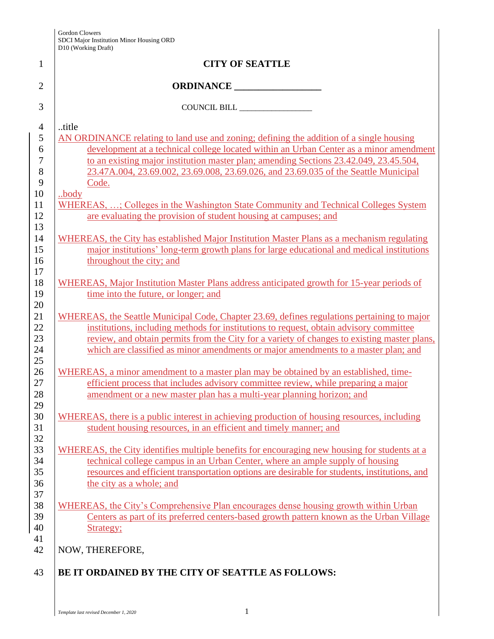| <b>CITY OF SEATTLE</b>                                                                       |
|----------------------------------------------------------------------------------------------|
|                                                                                              |
| COUNCIL BILL                                                                                 |
| title                                                                                        |
| AN ORDINANCE relating to land use and zoning; defining the addition of a single housing      |
| development at a technical college located within an Urban Center as a minor amendment       |
| to an existing major institution master plan; amending Sections 23.42.049, 23.45.504,        |
| 23.47A.004, 23.69.002, 23.69.008, 23.69.026, and 23.69.035 of the Seattle Municipal          |
| Code.                                                                                        |
| body                                                                                         |
| WHEREAS, ; Colleges in the Washington State Community and Technical Colleges System          |
| are evaluating the provision of student housing at campuses; and                             |
| WHEREAS, the City has established Major Institution Master Plans as a mechanism regulating   |
| major institutions' long-term growth plans for large educational and medical institutions    |
| throughout the city; and                                                                     |
|                                                                                              |
| WHEREAS, Major Institution Master Plans address anticipated growth for 15-year periods of    |
| time into the future, or longer; and                                                         |
| WHEREAS, the Seattle Municipal Code, Chapter 23.69, defines regulations pertaining to major  |
| institutions, including methods for institutions to request, obtain advisory committee       |
| review, and obtain permits from the City for a variety of changes to existing master plans,  |
| which are classified as minor amendments or major amendments to a master plan; and           |
| WHEREAS, a minor amendment to a master plan may be obtained by an established, time-         |
| efficient process that includes advisory committee review, while preparing a major           |
| amendment or a new master plan has a multi-year planning horizon; and                        |
| WHEREAS, there is a public interest in achieving production of housing resources, including  |
| student housing resources, in an efficient and timely manner; and                            |
|                                                                                              |
| WHEREAS, the City identifies multiple benefits for encouraging new housing for students at a |
| technical college campus in an Urban Center, where an ample supply of housing                |
| resources and efficient transportation options are desirable for students, institutions, and |
| the city as a whole; and                                                                     |
| WHEREAS, the City's Comprehensive Plan encourages dense housing growth within Urban          |
| Centers as part of its preferred centers-based growth pattern known as the Urban Village     |
| Strategy;                                                                                    |
|                                                                                              |
| NOW, THEREFORE,                                                                              |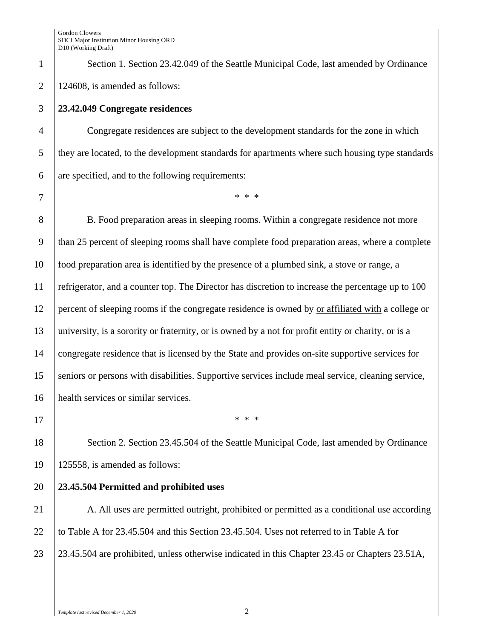1 Section 1. Section 23.42.049 of the Seattle Municipal Code, last amended by Ordinance 2 | 124608, is amended as follows:

## 3 **23.42.049 Congregate residences**

4 Congregate residences are subject to the development standards for the zone in which 5 they are located, to the development standards for apartments where such housing type standards  $\begin{array}{c|c} \hline 6 & \text{are specified, and to the following requirements:} \end{array}$ 

7 \* \* \*

8 B. Food preparation areas in sleeping rooms. Within a congregate residence not more than 25 percent of sleeping rooms shall have complete food preparation areas, where a complete food preparation area is identified by the presence of a plumbed sink, a stove or range, a 11 refrigerator, and a counter top. The Director has discretion to increase the percentage up to 100 percent of sleeping rooms if the congregate residence is owned by or affiliated with a college or university, is a sorority or fraternity, or is owned by a not for profit entity or charity, or is a congregate residence that is licensed by the State and provides on-site supportive services for seniors or persons with disabilities. Supportive services include meal service, cleaning service, health services or similar services.

 $17$  \* \* \*

18 Section 2. Section 23.45.504 of the Seattle Municipal Code, last amended by Ordinance 19 125558, is amended as follows:

## 20 **23.45.504 Permitted and prohibited uses**

21 A. All uses are permitted outright, prohibited or permitted as a conditional use according 22 to Table A for 23.45.504 and this Section 23.45.504. Uses not referred to in Table A for 23 23.45.504 are prohibited, unless otherwise indicated in this Chapter 23.45 or Chapters 23.51A,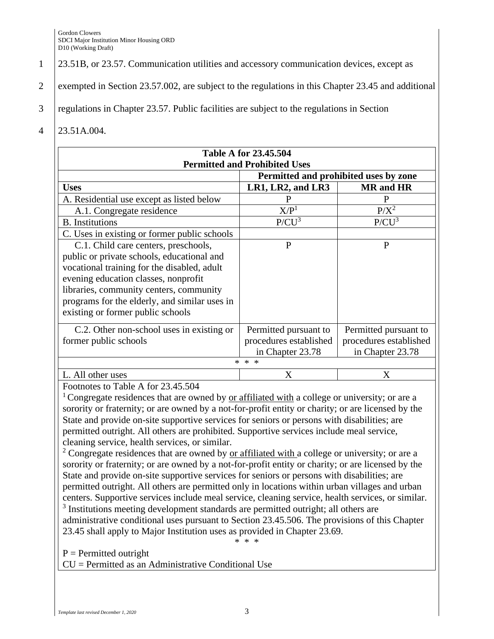- 1 23.51B, or 23.57. Communication utilities and accessory communication devices, except as
- 2 exempted in Section 23.57.002, are subject to the regulations in this Chapter 23.45 and additional
- 3 regulations in Chapter 23.57. Public facilities are subject to the regulations in Section
- 4 23.51A.004.

| <b>Table A for 23.45.504</b><br><b>Permitted and Prohibited Uses</b>                                                                                                                                                                                                                                       |                                                                              |                                                                     |  |
|------------------------------------------------------------------------------------------------------------------------------------------------------------------------------------------------------------------------------------------------------------------------------------------------------------|------------------------------------------------------------------------------|---------------------------------------------------------------------|--|
| Permitted and prohibited uses by zone                                                                                                                                                                                                                                                                      |                                                                              |                                                                     |  |
| <b>Uses</b>                                                                                                                                                                                                                                                                                                | LR1, LR2, and LR3                                                            | <b>MR</b> and HR                                                    |  |
| A. Residential use except as listed below                                                                                                                                                                                                                                                                  | P                                                                            | P                                                                   |  |
| A.1. Congregate residence                                                                                                                                                                                                                                                                                  | X/P <sup>1</sup>                                                             | $P/X^2$                                                             |  |
| <b>B.</b> Institutions                                                                                                                                                                                                                                                                                     | $P/CU^3$                                                                     | $P/CU^3$                                                            |  |
| C. Uses in existing or former public schools                                                                                                                                                                                                                                                               |                                                                              |                                                                     |  |
| C.1. Child care centers, preschools,<br>public or private schools, educational and<br>vocational training for the disabled, adult<br>evening education classes, nonprofit<br>libraries, community centers, community<br>programs for the elderly, and similar uses in<br>existing or former public schools | P                                                                            | P                                                                   |  |
| C.2. Other non-school uses in existing or<br>former public schools                                                                                                                                                                                                                                         | Permitted pursuant to<br>procedures established<br>in Chapter 23.78<br>* * * | Permitted pursuant to<br>procedures established<br>in Chapter 23.78 |  |
| L. All other uses                                                                                                                                                                                                                                                                                          | $\rm\overline{X}$                                                            | X                                                                   |  |

Footnotes to Table A for 23.45.504

<sup>1</sup> Congregate residences that are owned by or affiliated with a college or university; or are a sorority or fraternity; or are owned by a not-for-profit entity or charity; or are licensed by the State and provide on-site supportive services for seniors or persons with disabilities; are permitted outright. All others are prohibited. Supportive services include meal service, cleaning service, health services, or similar.

<sup>2</sup> Congregate residences that are owned by or affiliated with a college or university; or are a sorority or fraternity; or are owned by a not-for-profit entity or charity; or are licensed by the State and provide on-site supportive services for seniors or persons with disabilities; are permitted outright. All others are permitted only in locations within urban villages and urban centers. Supportive services include meal service, cleaning service, health services, or similar. <sup>3</sup> Institutions meeting development standards are permitted outright; all others are

administrative conditional uses pursuant to Section 23.45.506. The provisions of this Chapter 23.45 shall apply to Major Institution uses as provided in Chapter 23.69. \* \* \*

 $P = Permitted$  outright

CU = Permitted as an Administrative Conditional Use

*Template last revised December 1, 2020* 3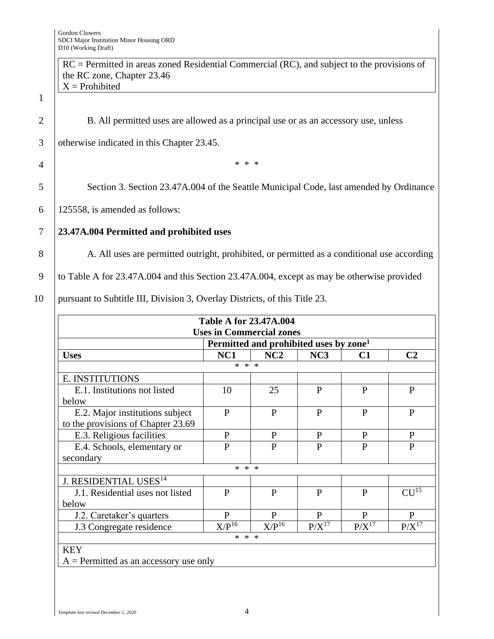1

|                | $RC = Permitted$ in areas zoned Residential Commercial (RC), and subject to the provisions of |
|----------------|-----------------------------------------------------------------------------------------------|
|                | the RC zone, Chapter 23.46                                                                    |
|                | $X =$ Prohibited                                                                              |
| $\mathbf{1}$   |                                                                                               |
| $\overline{2}$ | B. All permitted uses are allowed as a principal use or as an accessory use, unless           |
| 3              | otherwise indicated in this Chapter 23.45.                                                    |
| 4              | * * *                                                                                         |
| 5              | Section 3. Section 23.47A.004 of the Seattle Municipal Code, last amended by Ordinance        |
| 6              | 125558, is amended as follows:                                                                |
| 7              | 23.47A.004 Permitted and prohibited uses                                                      |
| 8              | A. All uses are permitted outright, prohibited, or permitted as a conditional use according   |
| 9              | to Table A for 23.47A.004 and this Section 23.47A.004, except as may be otherwise provided    |
|                |                                                                                               |

|  | 10   pursuant to Subtitle III, Division 3, Overlay Districts, of this Title 23. |  |  |  |  |  |  |  |
|--|---------------------------------------------------------------------------------|--|--|--|--|--|--|--|
|--|---------------------------------------------------------------------------------|--|--|--|--|--|--|--|

| <b>Table A for 23.47A.004</b><br><b>Uses in Commercial zones</b> |                 |                                                    |              |              |                  |
|------------------------------------------------------------------|-----------------|----------------------------------------------------|--------------|--------------|------------------|
|                                                                  |                 | Permitted and prohibited uses by zone <sup>1</sup> |              |              |                  |
| <b>Uses</b>                                                      | NC <sub>1</sub> | NC2                                                | NC3          | C1           | C <sub>2</sub>   |
|                                                                  | * * *           |                                                    |              |              |                  |
| E. INSTITUTIONS                                                  |                 |                                                    |              |              |                  |
| E.1. Institutions not listed                                     | 10              | 25                                                 | $\mathbf{P}$ | $\mathbf{P}$ | P                |
| below                                                            |                 |                                                    |              |              |                  |
| E.2. Major institutions subject                                  | $\mathbf{P}$    | $\mathbf{P}$                                       | P            | $\mathbf{P}$ | $\mathbf{P}$     |
| to the provisions of Chapter 23.69                               |                 |                                                    |              |              |                  |
| E.3. Religious facilities                                        | $\mathbf{P}$    | $\mathbf{P}$                                       | P            | $\mathbf{P}$ | $\mathbf{P}$     |
| E.4. Schools, elementary or                                      | $\overline{P}$  | $\mathbf{P}$                                       | $\mathbf{P}$ | $\mathbf{P}$ | $\mathbf{P}$     |
| secondary                                                        |                 |                                                    |              |              |                  |
|                                                                  | * * *           |                                                    |              |              |                  |
| J. RESIDENTIAL USES <sup>14</sup>                                |                 |                                                    |              |              |                  |
| J.1. Residential uses not listed                                 | $\mathbf{P}$    | $\mathbf{P}$                                       | P            | P            | CU <sup>15</sup> |
| below                                                            |                 |                                                    |              |              |                  |
| J.2. Caretaker's quarters                                        | $\mathbf{P}$    | P                                                  | P            | P            | $\mathbf{P}$     |
| J.3 Congregate residence                                         | $X/P^{16}$      | $X/P^{16}$                                         | $P/X^{17}$   | $P/X^{17}$   | $P/X^{17}$       |
| * * *                                                            |                 |                                                    |              |              |                  |
| <b>KEY</b>                                                       |                 |                                                    |              |              |                  |
| $A = Permitted$ as an accessory use only                         |                 |                                                    |              |              |                  |

*Template last revised December 1, 2020* 4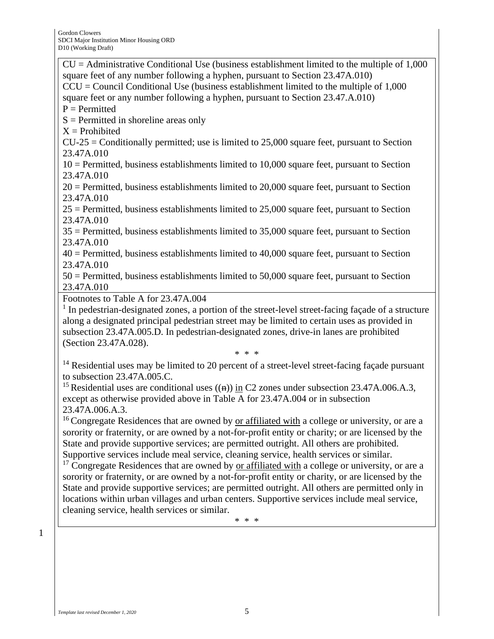$CU =$  Administrative Conditional Use (business establishment limited to the multiple of 1,000 square feet of any number following a hyphen, pursuant to Section 23.47A.010)  $CCU = Council Conditional Use (business establishment limited to the multiple of 1,000)$ square feet or any number following a hyphen, pursuant to Section 23.47.A.010)  $P = Permitted$  $S =$  Permitted in shoreline areas only  $X =$ Prohibited  $CU-25 =$  Conditionally permitted; use is limited to 25,000 square feet, pursuant to Section 23.47A.010 10 = Permitted, business establishments limited to 10,000 square feet, pursuant to Section 23.47A.010 20 = Permitted, business establishments limited to 20,000 square feet, pursuant to Section 23.47A.010 25 = Permitted, business establishments limited to 25,000 square feet, pursuant to Section 23.47A.010 35 = Permitted, business establishments limited to 35,000 square feet, pursuant to Section 23.47A.010 40 = Permitted, business establishments limited to 40,000 square feet, pursuant to Section 23.47A.010 50 = Permitted, business establishments limited to 50,000 square feet, pursuant to Section 23.47A.010 Footnotes to Table A for 23.47A.004 <sup>1</sup> In pedestrian-designated zones, a portion of the street-level street-facing façade of a structure along a designated principal pedestrian street may be limited to certain uses as provided in subsection 23.47A.005.D. In pedestrian-designated zones, drive-in lanes are prohibited

(Section 23.47A.028).

\* \* \*

<sup>14</sup> Residential uses may be limited to 20 percent of a street-level street-facing façade pursuant to subsection 23.47A.005.C.

<sup>15</sup> Residential uses are conditional uses  $((n))$  in C2 zones under subsection 23.47A.006.A.3, except as otherwise provided above in Table A for 23.47A.004 or in subsection 23.47A.006.A.3.

<sup>16</sup> Congregate Residences that are owned by or affiliated with a college or university, or are a sorority or fraternity, or are owned by a not-for-profit entity or charity; or are licensed by the State and provide supportive services; are permitted outright. All others are prohibited. Supportive services include meal service, cleaning service, health services or similar.

 $17$  Congregate Residences that are owned by or affiliated with a college or university, or are a sorority or fraternity, or are owned by a not-for-profit entity or charity, or are licensed by the State and provide supportive services; are permitted outright. All others are permitted only in locations within urban villages and urban centers. Supportive services include meal service, cleaning service, health services or similar.

\* \* \*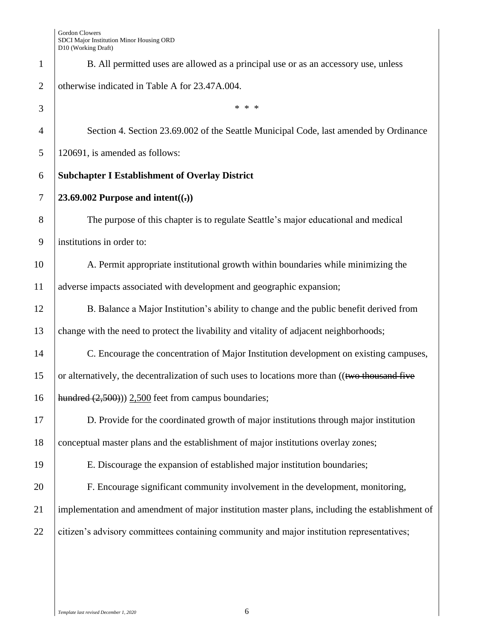| 1              | B. All permitted uses are allowed as a principal use or as an accessory use, unless            |
|----------------|------------------------------------------------------------------------------------------------|
| $\overline{2}$ | otherwise indicated in Table A for 23.47A.004.                                                 |
| 3              | * * *                                                                                          |
| 4              | Section 4. Section 23.69.002 of the Seattle Municipal Code, last amended by Ordinance          |
| 5              | 120691, is amended as follows:                                                                 |
| 6              | <b>Subchapter I Establishment of Overlay District</b>                                          |
| 7              | 23.69.002 Purpose and intent( $(\cdot)$ )                                                      |
| 8              | The purpose of this chapter is to regulate Seattle's major educational and medical             |
| 9              | institutions in order to:                                                                      |
| 10             | A. Permit appropriate institutional growth within boundaries while minimizing the              |
| 11             | adverse impacts associated with development and geographic expansion;                          |
| 12             | B. Balance a Major Institution's ability to change and the public benefit derived from         |
| 13             | change with the need to protect the livability and vitality of adjacent neighborhoods;         |
| 14             | C. Encourage the concentration of Major Institution development on existing campuses,          |
| 15             | or alternatively, the decentralization of such uses to locations more than ((two thousand five |
| 16             | hundred $(2,500)$ ) $2,500$ feet from campus boundaries;                                       |
| 17             | D. Provide for the coordinated growth of major institutions through major institution          |
| 18             | conceptual master plans and the establishment of major institutions overlay zones;             |
| 19             | E. Discourage the expansion of established major institution boundaries;                       |
| 20             | F. Encourage significant community involvement in the development, monitoring,                 |
| 21             | implementation and amendment of major institution master plans, including the establishment of |
| 22             | citizen's advisory committees containing community and major institution representatives;      |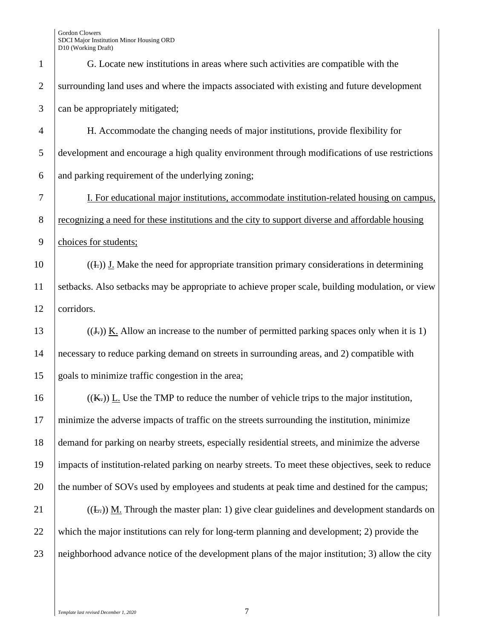| $\mathbf{1}$   | G. Locate new institutions in areas where such activities are compatible with the                  |
|----------------|----------------------------------------------------------------------------------------------------|
| $\overline{2}$ | surrounding land uses and where the impacts associated with existing and future development        |
| 3              | can be appropriately mitigated;                                                                    |
| $\overline{4}$ | H. Accommodate the changing needs of major institutions, provide flexibility for                   |
| 5              | development and encourage a high quality environment through modifications of use restrictions     |
| 6              | and parking requirement of the underlying zoning;                                                  |
| 7              | I. For educational major institutions, accommodate institution-related housing on campus,          |
| $8\phantom{.}$ | recognizing a need for these institutions and the city to support diverse and affordable housing   |
| 9              | choices for students;                                                                              |
| 10             | $((\text{L}))$ J. Make the need for appropriate transition primary considerations in determining   |
| 11             | setbacks. Also setbacks may be appropriate to achieve proper scale, building modulation, or view   |
| 12             | corridors.                                                                                         |
| 13             | $((J))$ K. Allow an increase to the number of permitted parking spaces only when it is 1)          |
| 14             | necessary to reduce parking demand on streets in surrounding areas, and 2) compatible with         |
| 15             | goals to minimize traffic congestion in the area;                                                  |
| 16             | $((K))$ L. Use the TMP to reduce the number of vehicle trips to the major institution,             |
| 17             | minimize the adverse impacts of traffic on the streets surrounding the institution, minimize       |
| 18             | demand for parking on nearby streets, especially residential streets, and minimize the adverse     |
| 19             | impacts of institution-related parking on nearby streets. To meet these objectives, seek to reduce |
| 20             | the number of SOVs used by employees and students at peak time and destined for the campus;        |
| 21             | $((E))$ M. Through the master plan: 1) give clear guidelines and development standards on          |
| 22             | which the major institutions can rely for long-term planning and development; 2) provide the       |
| 23             | neighborhood advance notice of the development plans of the major institution; 3) allow the city   |
|                |                                                                                                    |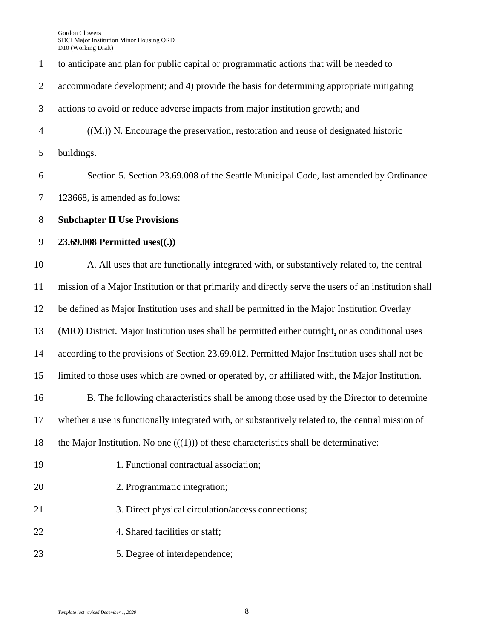to anticipate and plan for public capital or programmatic actions that will be needed to accommodate development; and 4) provide the basis for determining appropriate mitigating actions to avoid or reduce adverse impacts from major institution growth; and  $\frac{4}{(M_t)}$  ((M<sub>t</sub>)) N. Encourage the preservation, restoration and reuse of designated historic buildings. 6 Section 5. Section 23.69.008 of the Seattle Municipal Code, last amended by Ordinance 123668, is amended as follows: **Subchapter II Use Provisions 23.69.008 Permitted uses((.))** 10 A. All uses that are functionally integrated with, or substantively related to, the central mission of a Major Institution or that primarily and directly serve the users of an institution shall be defined as Major Institution uses and shall be permitted in the Major Institution Overlay (MIO) District. Major Institution uses shall be permitted either outright, or as conditional uses according to the provisions of Section 23.69.012. Permitted Major Institution uses shall not be limited to those uses which are owned or operated by, or affiliated with, the Major Institution. B. The following characteristics shall be among those used by the Director to determine whether a use is functionally integrated with, or substantively related to, the central mission of 18 the Major Institution. No one  $((+))$  of these characteristics shall be determinative: 1. Functional contractual association; 20 2. Programmatic integration; 21 3. Direct physical circulation/access connections; 22 | 4. Shared facilities or staff; 23 | 5. Degree of interdependence;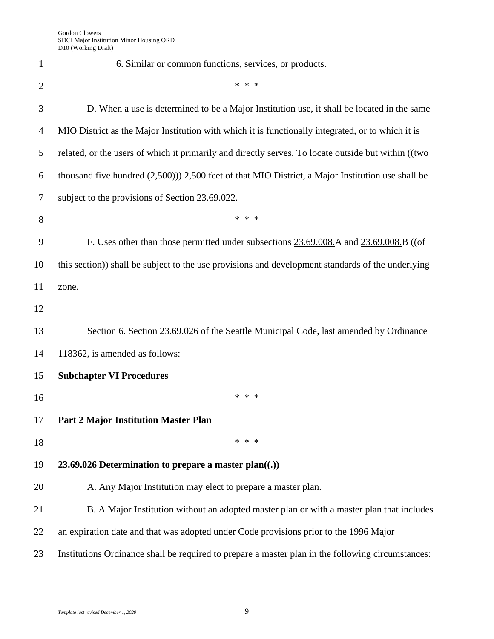|                | D10 (Working Draft)                                                                                   |
|----------------|-------------------------------------------------------------------------------------------------------|
| $\mathbf{1}$   | 6. Similar or common functions, services, or products.                                                |
| $\overline{2}$ | * * *                                                                                                 |
| 3              | D. When a use is determined to be a Major Institution use, it shall be located in the same            |
| $\overline{4}$ | MIO District as the Major Institution with which it is functionally integrated, or to which it is     |
| 5              | related, or the users of which it primarily and directly serves. To locate outside but within ((two   |
| 6              | thousand five hundred $(2,500)$ ) $2,500$ feet of that MIO District, a Major Institution use shall be |
| $\tau$         | subject to the provisions of Section 23.69.022.                                                       |
| 8              | * * *                                                                                                 |
| 9              | F. Uses other than those permitted under subsections 23.69.008.A and 23.69.008.B ((of                 |
| 10             | this section) shall be subject to the use provisions and development standards of the underlying      |
| 11             | zone.                                                                                                 |
| 12             |                                                                                                       |
| 13             | Section 6. Section 23.69.026 of the Seattle Municipal Code, last amended by Ordinance                 |
| 14             | 118362, is amended as follows:                                                                        |
| 15             | <b>Subchapter VI Procedures</b>                                                                       |
| 16             | * * *                                                                                                 |
| 17             | <b>Part 2 Major Institution Master Plan</b>                                                           |
| 18             | * * *                                                                                                 |
| 19             | 23.69.026 Determination to prepare a master plan( $\left(\cdot\right)$ )                              |
| 20             | A. Any Major Institution may elect to prepare a master plan.                                          |
| 21             | B. A Major Institution without an adopted master plan or with a master plan that includes             |
| 22             | an expiration date and that was adopted under Code provisions prior to the 1996 Major                 |
| 23             | Institutions Ordinance shall be required to prepare a master plan in the following circumstances:     |
|                |                                                                                                       |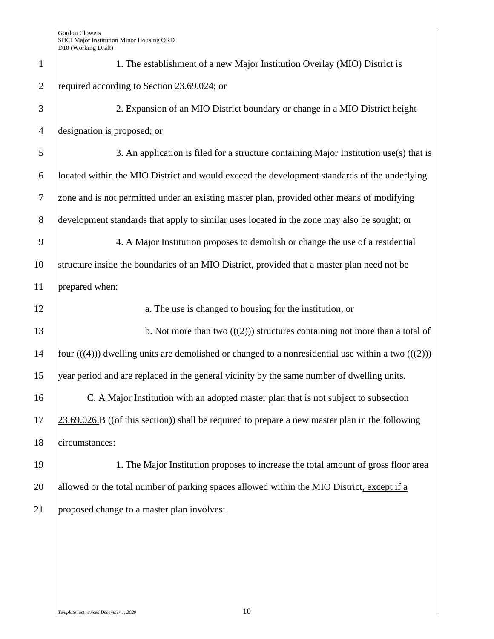| $\mathbf{1}$   | 1. The establishment of a new Major Institution Overlay (MIO) District is                           |
|----------------|-----------------------------------------------------------------------------------------------------|
| $\overline{2}$ | required according to Section 23.69.024; or                                                         |
| 3              | 2. Expansion of an MIO District boundary or change in a MIO District height                         |
| $\overline{4}$ | designation is proposed; or                                                                         |
| 5              | 3. An application is filed for a structure containing Major Institution use(s) that is              |
| 6              | located within the MIO District and would exceed the development standards of the underlying        |
| $\tau$         | zone and is not permitted under an existing master plan, provided other means of modifying          |
| 8              | development standards that apply to similar uses located in the zone may also be sought; or         |
| 9              | 4. A Major Institution proposes to demolish or change the use of a residential                      |
| 10             | structure inside the boundaries of an MIO District, provided that a master plan need not be         |
| 11             | prepared when:                                                                                      |
| 12             | a. The use is changed to housing for the institution, or                                            |
| 13             | b. Not more than two $((2))$ structures containing not more than a total of                         |
| 14             | four $((4))$ dwelling units are demolished or changed to a nonresidential use within a two $((2))$  |
| 15             |                                                                                                     |
|                | year period and are replaced in the general vicinity by the same number of dwelling units.          |
| 16             | C. A Major Institution with an adopted master plan that is not subject to subsection                |
|                | $23.69.026$ . B ((of this section)) shall be required to prepare a new master plan in the following |
| 17<br>18       | circumstances:                                                                                      |
| 19             | 1. The Major Institution proposes to increase the total amount of gross floor area                  |
| 20             | allowed or the total number of parking spaces allowed within the MIO District, except if a          |
| 21             | proposed change to a master plan involves:                                                          |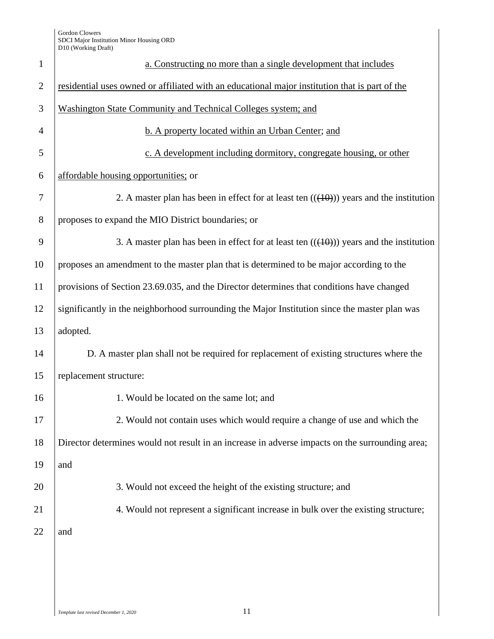| $\mathbf{1}$   | a. Constructing no more than a single development that includes                                 |
|----------------|-------------------------------------------------------------------------------------------------|
| $\overline{2}$ | residential uses owned or affiliated with an educational major institution that is part of the  |
| 3              | Washington State Community and Technical Colleges system; and                                   |
| $\overline{4}$ | b. A property located within an Urban Center; and                                               |
| 5              | c. A development including dormitory, congregate housing, or other                              |
| 6              | affordable housing opportunities; or                                                            |
| 7              | 2. A master plan has been in effect for at least ten $((10))$ years and the institution         |
| 8              | proposes to expand the MIO District boundaries; or                                              |
| 9              | 3. A master plan has been in effect for at least ten $((10))$ years and the institution         |
| 10             | proposes an amendment to the master plan that is determined to be major according to the        |
| 11             | provisions of Section 23.69.035, and the Director determines that conditions have changed       |
| 12             | significantly in the neighborhood surrounding the Major Institution since the master plan was   |
| 13             | adopted.                                                                                        |
| 14             | D. A master plan shall not be required for replacement of existing structures where the         |
| 15             | replacement structure:                                                                          |
| 16             | 1. Would be located on the same lot; and                                                        |
| 17             | 2. Would not contain uses which would require a change of use and which the                     |
| 18             | Director determines would not result in an increase in adverse impacts on the surrounding area; |
| 19             | and                                                                                             |
| 20             | 3. Would not exceed the height of the existing structure; and                                   |
| 21             | 4. Would not represent a significant increase in bulk over the existing structure;              |
| 22             | and                                                                                             |
|                |                                                                                                 |
|                |                                                                                                 |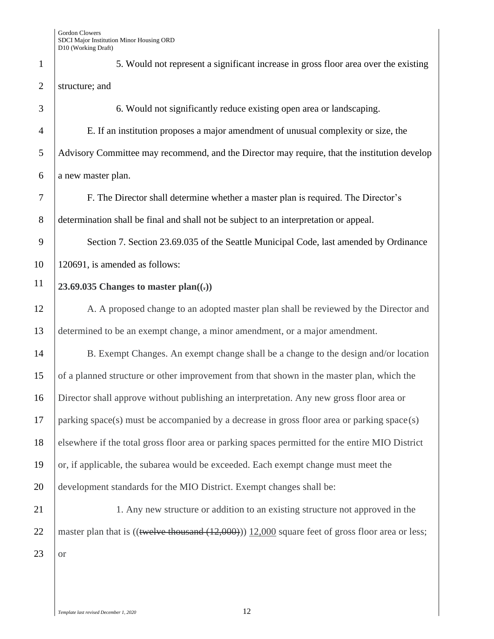1 5. Would not represent a significant increase in gross floor area over the existing 2 structure; and 3 6. Would not significantly reduce existing open area or landscaping.

4 E. If an institution proposes a major amendment of unusual complexity or size, the 5 Advisory Committee may recommend, and the Director may require, that the institution develop 6 a new master plan.

7 F. The Director shall determine whether a master plan is required. The Director's 8 determination shall be final and shall not be subject to an interpretation or appeal.

9 Section 7. Section 23.69.035 of the Seattle Municipal Code, last amended by Ordinance 10 120691, is amended as follows:

## **23.69.035 Changes to master plan((.))**

12 A. A proposed change to an adopted master plan shall be reviewed by the Director and 13 determined to be an exempt change, a minor amendment, or a major amendment.

14 B. Exempt Changes. An exempt change shall be a change to the design and/or location of a planned structure or other improvement from that shown in the master plan, which the Director shall approve without publishing an interpretation. Any new gross floor area or parking space(s) must be accompanied by a decrease in gross floor area or parking space(s) elsewhere if the total gross floor area or parking spaces permitted for the entire MIO District or, if applicable, the subarea would be exceeded. Each exempt change must meet the development standards for the MIO District. Exempt changes shall be:

 $23$  or

21 1. Any new structure or addition to an existing structure not approved in the 22 | master plan that is  $(($ twelve thousand  $(12,000))$  12,000 square feet of gross floor area or less;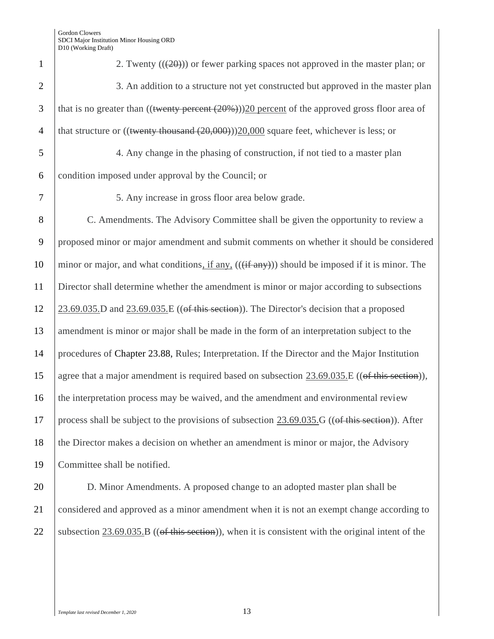| $\mathbf{1}$   | 2. Twenty $((20))$ or fewer parking spaces not approved in the master plan; or                           |
|----------------|----------------------------------------------------------------------------------------------------------|
| $\overline{2}$ | 3. An addition to a structure not yet constructed but approved in the master plan                        |
| 3              | that is no greater than $((\text{twenty percent} (20\%)))20$ percent of the approved gross floor area of |
| $\overline{4}$ | that structure or $(($ twenty thousand $(20,000))$ $(20,000)$ square feet, whichever is less; or         |
| 5              | 4. Any change in the phasing of construction, if not tied to a master plan                               |
| 6              | condition imposed under approval by the Council; or                                                      |
| 7              | 5. Any increase in gross floor area below grade.                                                         |
| 8              | C. Amendments. The Advisory Committee shall be given the opportunity to review a                         |
| 9              | proposed minor or major amendment and submit comments on whether it should be considered                 |
| 10             | minor or major, and what conditions, if any, (((if any))) should be imposed if it is minor. The          |
| 11             | Director shall determine whether the amendment is minor or major according to subsections                |
| 12             | $23.69.035$ . D and $23.69.035$ . E ((of this section)). The Director's decision that a proposed         |
| 13             | amendment is minor or major shall be made in the form of an interpretation subject to the                |
| 14             | procedures of Chapter 23.88, Rules; Interpretation. If the Director and the Major Institution            |
| 15             | agree that a major amendment is required based on subsection 23.69.035.E ((of this section)),            |
| 16             | the interpretation process may be waived, and the amendment and environmental review                     |
| 17             | process shall be subject to the provisions of subsection 23.69.035.G ((of this section)). After          |
| 18             | the Director makes a decision on whether an amendment is minor or major, the Advisory                    |
| 19             | Committee shall be notified.                                                                             |
| 20             | D. Minor Amendments. A proposed change to an adopted master plan shall be                                |
| 21             | considered and approved as a minor amendment when it is not an exempt change according to                |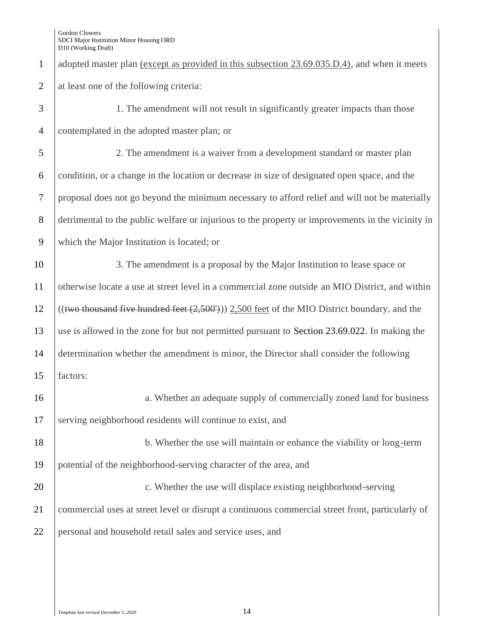| $\mathbf{1}$   | adopted master plan <u>(except as provided in this subsection 23.69.035.D.4)</u> , and when it meets |
|----------------|------------------------------------------------------------------------------------------------------|
| $\overline{2}$ | at least one of the following criteria:                                                              |
| 3              | 1. The amendment will not result in significantly greater impacts than those                         |
| $\overline{4}$ | contemplated in the adopted master plan; or                                                          |
| 5              | 2. The amendment is a waiver from a development standard or master plan                              |
| 6              | condition, or a change in the location or decrease in size of designated open space, and the         |
| $\tau$         | proposal does not go beyond the minimum necessary to afford relief and will not be materially        |
| 8              | detrimental to the public welfare or injurious to the property or improvements in the vicinity in    |
| 9              | which the Major Institution is located; or                                                           |
| 10             | 3. The amendment is a proposal by the Major Institution to lease space or                            |
| 11             | otherwise locate a use at street level in a commercial zone outside an MIO District, and within      |
| 12             | $((two thousand five hundred feet (2,500'))) 2,500 feet$ of the MIO District boundary, and the       |
| 13             | use is allowed in the zone for but not permitted pursuant to Section 23.69.022. In making the        |
| 14             | determination whether the amendment is minor, the Director shall consider the following              |
| 15             | factors:                                                                                             |
| 16             | a. Whether an adequate supply of commercially zoned land for business                                |
| 17             | serving neighborhood residents will continue to exist, and                                           |
| 18             | b. Whether the use will maintain or enhance the viability or long-term                               |
| 19             | potential of the neighborhood-serving character of the area, and                                     |
| 20             | c. Whether the use will displace existing neighborhood-serving                                       |
| 21             | commercial uses at street level or disrupt a continuous commercial street front, particularly of     |
| 22             | personal and household retail sales and service uses, and                                            |
|                |                                                                                                      |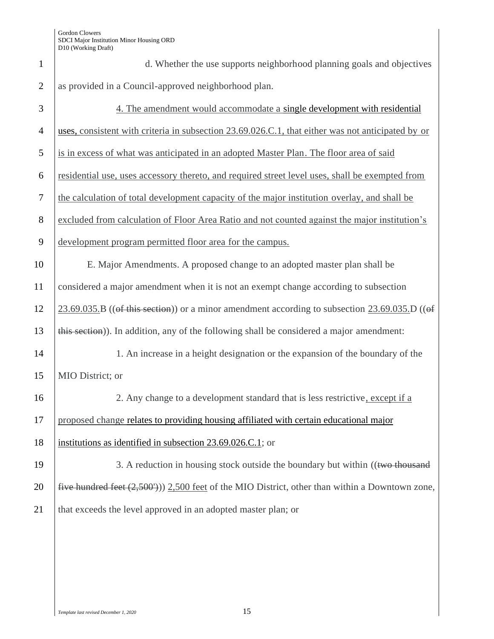| $\mathbf{1}$   | d. Whether the use supports neighborhood planning goals and objectives                                |
|----------------|-------------------------------------------------------------------------------------------------------|
| $\overline{2}$ | as provided in a Council-approved neighborhood plan.                                                  |
| 3              | 4. The amendment would accommodate a single development with residential                              |
| $\overline{4}$ | uses, consistent with criteria in subsection 23.69.026.C.1, that either was not anticipated by or     |
| 5              | is in excess of what was anticipated in an adopted Master Plan. The floor area of said                |
| 6              | residential use, uses accessory thereto, and required street level uses, shall be exempted from       |
| $\tau$         | the calculation of total development capacity of the major institution overlay, and shall be          |
| 8              | excluded from calculation of Floor Area Ratio and not counted against the major institution's         |
| 9              | development program permitted floor area for the campus.                                              |
| 10             | E. Major Amendments. A proposed change to an adopted master plan shall be                             |
| 11             | considered a major amendment when it is not an exempt change according to subsection                  |
| 12             | $23.69.035$ . B ((of this section)) or a minor amendment according to subsection $23.69.035$ . D ((of |
| 13             | this section)). In addition, any of the following shall be considered a major amendment:              |
| 14             | 1. An increase in a height designation or the expansion of the boundary of the                        |
| 15             | MIO District; or                                                                                      |
| 16             | 2. Any change to a development standard that is less restrictive, except if a                         |
| 17             | proposed change relates to providing housing affiliated with certain educational major                |
| 18             | institutions as identified in subsection 23.69.026.C.1; or                                            |
| 19             | 3. A reduction in housing stock outside the boundary but within ((two thousand                        |
| 20             | five hundred feet $(2,500)$ ) $2,500$ feet of the MIO District, other than within a Downtown zone,    |
| 21             | that exceeds the level approved in an adopted master plan; or                                         |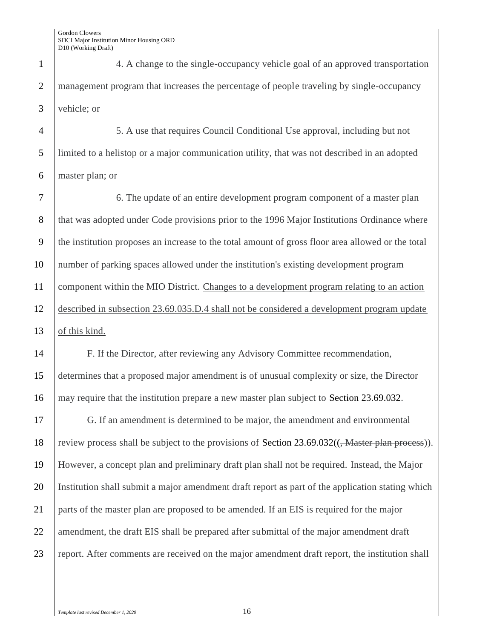4. A change to the single-occupancy vehicle goal of an approved transportation management program that increases the percentage of people traveling by single-occupancy vehicle; or

 5. A use that requires Council Conditional Use approval, including but not limited to a helistop or a major communication utility, that was not described in an adopted master plan; or

 6. The update of an entire development program component of a master plan 8 that was adopted under Code provisions prior to the 1996 Major Institutions Ordinance where the institution proposes an increase to the total amount of gross floor area allowed or the total number of parking spaces allowed under the institution's existing development program component within the MIO District. Changes to a development program relating to an action described in subsection 23.69.035.D.4 shall not be considered a development program update of this kind.

 F. If the Director, after reviewing any Advisory Committee recommendation, determines that a proposed major amendment is of unusual complexity or size, the Director may require that the institution prepare a new master plan subject to Section 23.69.032.

 G. If an amendment is determined to be major, the amendment and environmental 18 review process shall be subject to the provisions of Section  $23.69.032((\frac{1}{2} \text{Master plan process}))$ . However, a concept plan and preliminary draft plan shall not be required. Instead, the Major Institution shall submit a major amendment draft report as part of the application stating which parts of the master plan are proposed to be amended. If an EIS is required for the major 22 amendment, the draft EIS shall be prepared after submittal of the major amendment draft 23 report. After comments are received on the major amendment draft report, the institution shall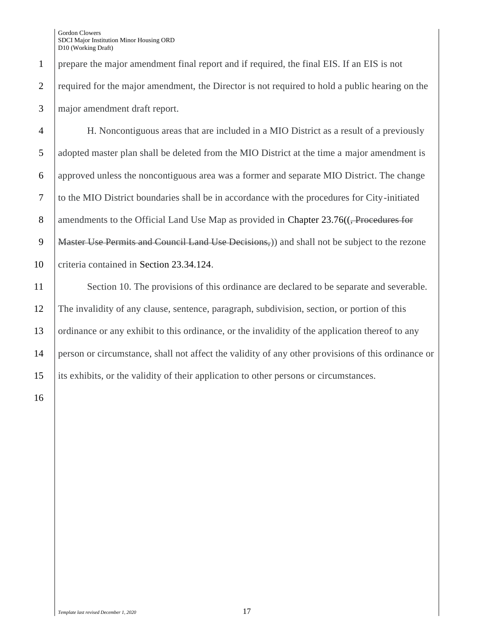1 prepare the major amendment final report and if required, the final EIS. If an EIS is not 2 required for the major amendment, the Director is not required to hold a public hearing on the 3 major amendment draft report.

4 H. Noncontiguous areas that are included in a MIO District as a result of a previously 5 adopted master plan shall be deleted from the MIO District at the time a major amendment is 6 approved unless the noncontiguous area was a former and separate MIO District. The change 7 to the MIO District boundaries shall be in accordance with the procedures for City-initiated 8 amendments to the Official Land Use Map as provided in Chapter 23.76((<del>, Procedures for</del> 9 | Master Use Permits and Council Land Use Decisions, and shall not be subject to the rezone 10 criteria contained in Section 23.34.124.

11 Section 10. The provisions of this ordinance are declared to be separate and severable. 12 The invalidity of any clause, sentence, paragraph, subdivision, section, or portion of this 13 ordinance or any exhibit to this ordinance, or the invalidity of the application thereof to any 14 person or circumstance, shall not affect the validity of any other provisions of this ordinance or 15 its exhibits, or the validity of their application to other persons or circumstances.